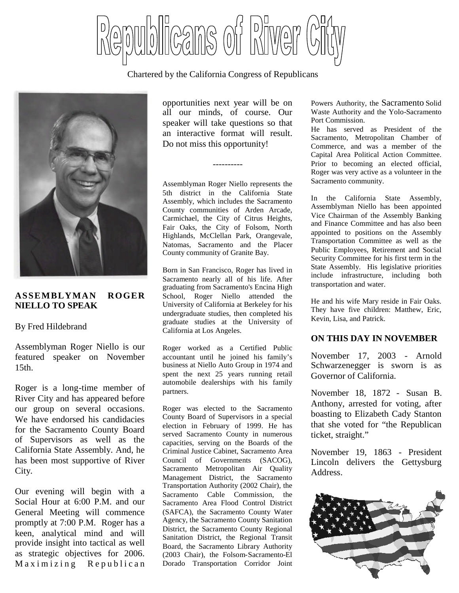

Chartered by the California Congress of Republicans



### **ASSEMBLYMAN ROGER NIELLO TO SPEAK**

### By Fred Hildebrand

Assemblyman Roger Niello is our featured speaker on November 15th.

Roger is a long-time member of River City and has appeared before our group on several occasions. We have endorsed his candidacies for the Sacramento County Board of Supervisors as well as the California State Assembly. And, he has been most supportive of River City.

Our evening will begin with a Social Hour at 6:00 P.M. and our General Meeting will commence promptly at 7:00 P.M. Roger has a keen, analytical mind and will provide insight into tactical as well as strategic objectives for 2006. Maximizing Republican opportunities next year will be on all our minds, of course. Our speaker will take questions so that an interactive format will result. Do not miss this opportunity!

----------

Assemblyman Roger Niello represents the 5th district in the California State Assembly, which includes the Sacramento County communities of Arden Arcade, Carmichael, the City of Citrus Heights, Fair Oaks, the City of Folsom, North Highlands, McClellan Park, Orangevale, Natomas, Sacramento and the Placer County community of Granite Bay.

Born in San Francisco, Roger has lived in Sacramento nearly all of his life. After graduating from Sacramento's Encina High School, Roger Niello attended the University of California at Berkeley for his undergraduate studies, then completed his graduate studies at the University of California at Los Angeles.

Roger worked as a Certified Public accountant until he joined his family's business at Niello Auto Group in 1974 and spent the next 25 years running retail automobile dealerships with his family partners.

Roger was elected to the Sacramento County Board of Supervisors in a special election in February of 1999. He has served Sacramento County in numerous capacities, serving on the Boards of the Criminal Justice Cabinet, Sacramento Area Council of Governments (SACOG), Sacramento Metropolitan Air Quality Management District, the Sacramento Transportation Authority (2002 Chair), the Sacramento Cable Commission, the Sacramento Area Flood Control District (SAFCA), the Sacramento County Water Agency, the Sacramento County Sanitation District, the Sacramento County Regional Sanitation District, the Regional Transit Board, the Sacramento Library Authority (2003 Chair), the Folsom-Sacramento-El Dorado Transportation Corridor Joint

Powers Authority, the Sacramento Solid Waste Authority and the Yolo-Sacramento Port Commission.

He has served as President of the Sacramento, Metropolitan Chamber of Commerce, and was a member of the Capital Area Political Action Committee. Prior to becoming an elected official, Roger was very active as a volunteer in the Sacramento community.

In the California State Assembly, Assemblyman Niello has been appointed Vice Chairman of the Assembly Banking and Finance Committee and has also been appointed to positions on the Assembly Transportation Committee as well as the Public Employees, Retirement and Social Security Committee for his first term in the State Assembly. His legislative priorities include infrastructure, including both transportation and water.

He and his wife Mary reside in Fair Oaks. They have five children: Matthew, Eric, Kevin, Lisa, and Patrick.

### **ON THIS DAY IN NOVEMBER**

November 17, 2003 - Arnold Schwarzenegger is sworn is as Governor of California.

November 18, 1872 - Susan B. Anthony, arrested for voting, after boasting to Elizabeth Cady Stanton that she voted for "the Republican ticket, straight."

November 19, 1863 - President Lincoln delivers the Gettysburg Address.

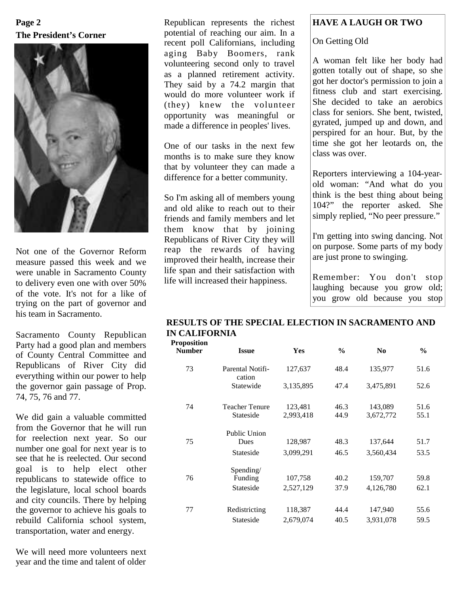# **The President's Corner Page 2**



Not one of the Governor Reform measure passed this week and we were unable in Sacramento County to delivery even one with over 50% of the vote. It's not for a like of trying on the part of governor and his team in Sacramento.

Sacramento County Republican Party had a good plan and members of County Central Committee and Republicans of River City did everything within our power to help the governor gain passage of Prop. 74, 75, 76 and 77.

We did gain a valuable committed from the Governor that he will run for reelection next year. So our number one goal for next year is to see that he is reelected. Our second goal is to help elect other republicans to statewide office to the legislature, local school boards and city councils. There by helping the governor to achieve his goals to rebuild California school system, transportation, water and energy.

We will need more volunteers next year and the time and talent of older

Republican represents the richest potential of reaching our aim. In a recent poll Californians, including aging Baby Boomers, rank volunteering second only to travel as a planned retirement activity. They said by a 74.2 margin that would do more volunteer work if (they) knew the volunteer opportunity was meaningful or made a difference in peoples' lives.

One of our tasks in the next few months is to make sure they know that by volunteer they can made a difference for a better community.

So I'm asking all of members young and old alike to reach out to their friends and family members and let them know that by joining Republicans of River City they will reap the rewards of having improved their health, increase their life span and their satisfaction with life will increased their happiness.

## **HAVE A LAUGH OR TWO**

On Getting Old

A woman felt like her body had gotten totally out of shape, so she got her doctor's permission to join a fitness club and start exercising. She decided to take an aerobics class for seniors. She bent, twisted, gyrated, jumped up and down, and perspired for an hour. But, by the time she got her leotards on, the class was over.

Reporters interviewing a 104-yearold woman: "And what do you think is the best thing about being 104?" the reporter asked. She simply replied, "No peer pressure."

I'm getting into swing dancing. Not on purpose. Some parts of my body are just prone to swinging.

Remember: You don't stop laughing because you grow old; you grow old because you stop

#### **RESULTS OF THE SPECIAL ELECTION IN SACRAMENTO AND IN CALIFORNIA Proposition**

| г оромнон<br>Number | <b>Issue</b>               | Yes       | $\frac{6}{9}$ | N <sub>0</sub> | $\frac{6}{9}$ |
|---------------------|----------------------------|-----------|---------------|----------------|---------------|
| 73                  | Parental Notifi-<br>cation | 127,637   | 48.4          | 135,977        | 51.6          |
|                     | Statewide                  | 3,135,895 | 47.4          | 3,475,891      | 52.6          |
| 74                  | Teacher Tenure             | 123,481   | 46.3          | 143,089        | 51.6          |
|                     | Stateside                  | 2,993,418 | 44.9          | 3,672,772      | 55.1          |
|                     | Public Union               |           |               |                |               |
| 75                  | Dues                       | 128,987   | 48.3          | 137,644        | 51.7          |
|                     | Stateside                  | 3,099,291 | 46.5          | 3,560,434      | 53.5          |
|                     | Spending/                  |           |               |                |               |
| 76                  | Funding                    | 107,758   | 40.2          | 159,707        | 59.8          |
|                     | Stateside                  | 2,527,129 | 37.9          | 4,126,780      | 62.1          |
| 77                  | Redistricting              | 118,387   | 44.4          | 147,940        | 55.6          |
|                     | Stateside                  | 2.679.074 | 40.5          | 3.931.078      | 59.5          |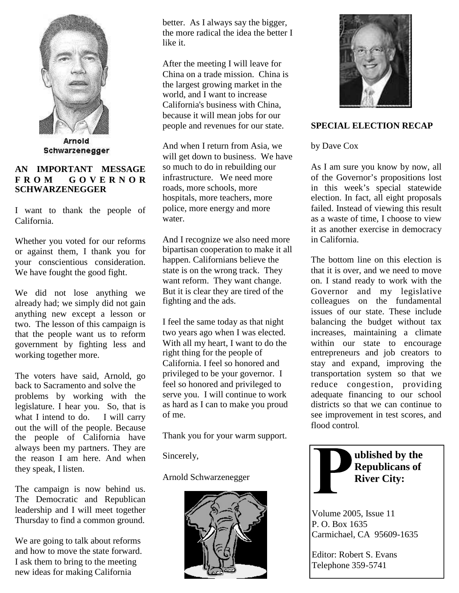

Arnold Schwarzenegger

## **AN IMPORTANT MESSAGE F R O M G O V E R N O R SCHWARZENEGGER**

I want to thank the people of California.

Whether you voted for our reforms or against them, I thank you for your conscientious consideration. We have fought the good fight.

We did not lose anything we already had; we simply did not gain anything new except a lesson or two. The lesson of this campaign is that the people want us to reform government by fighting less and working together more.

The voters have said, Arnold, go back to Sacramento and solve the problems by working with the legislature. I hear you. So, that is what I intend to do. I will carry out the will of the people. Because the people of California have always been my partners. They are the reason I am here. And when they speak, I listen.

The campaign is now behind us. The Democratic and Republican leadership and I will meet together Thursday to find a common ground.

We are going to talk about reforms and how to move the state forward. I ask them to bring to the meeting new ideas for making California

better. As I always say the bigger, the more radical the idea the better I like it.

After the meeting I will leave for China on a trade mission. China is the largest growing market in the world, and I want to increase California's business with China, because it will mean jobs for our people and revenues for our state.

And when I return from Asia, we will get down to business. We have so much to do in rebuilding our infrastructure. We need more roads, more schools, more hospitals, more teachers, more police, more energy and more water.

And I recognize we also need more bipartisan cooperation to make it all happen. Californians believe the state is on the wrong track. They want reform. They want change. But it is clear they are tired of the fighting and the ads.

I feel the same today as that night two years ago when I was elected. With all my heart, I want to do the right thing for the people of California. I feel so honored and privileged to be your governor. I feel so honored and privileged to serve you. I will continue to work as hard as I can to make you proud of me.

Thank you for your warm support.

Sincerely,

Arnold Schwarzenegger





## **SPECIAL ELECTION RECAP**

by Dave Cox

As I am sure you know by now, all of the Governor's propositions lost in this week's special statewide election. In fact, all eight proposals failed. Instead of viewing this result as a waste of time, I choose to view it as another exercise in democracy in California.

The bottom line on this election is that it is over, and we need to move on. I stand ready to work with the Governor and my legislative colleagues on the fundamental issues of our state. These include balancing the budget without tax increases, maintaining a climate within our state to encourage entrepreneurs and job creators to stay and expand, improving the transportation system so that we reduce congestion, providing adequate financing to our school districts so that we can continue to see improvement in test scores, and flood control.